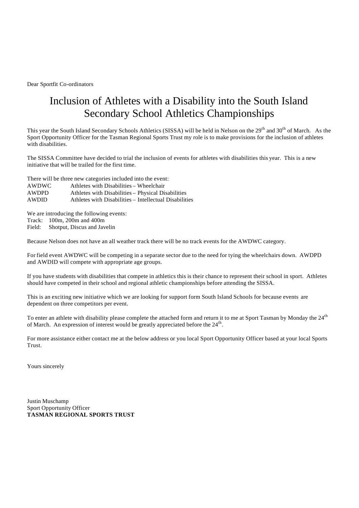Dear Sportfit Co-ordinators

#### Inclusion of Athletes with a Disability into the South Island Secondary School Athletics Championships

This year the South Island Secondary Schools Athletics (SISSA) will be held in Nelson on the 29<sup>th</sup> and 30<sup>th</sup> of March. As the Sport Opportunity Officer for the Tasman Regional Sports Trust my role is to make provisions for the inclusion of athletes with disabilities.

The SISSA Committee have decided to trial the inclusion of events for athletes with disabilities this year. This is a new initiative that will be trailed for the first time.

There will be three new categories included into the event:

AWDWC Athletes with Disabilities – Wheelchair AWDPD Athletes with Disabilities – Physical Disabilities AWDID Athletes with Disabilities – Intellectual Disabilities

We are introducing the following events: Track: 100m, 200m and 400m Field: Shotput, Discus and Javelin

Because Nelson does not have an all weather track there will be no track events for the AWDWC category.

For field event AWDWC will be competing in a separate sector due to the need for tying the wheelchairs down. AWDPD and AWDID will compete with appropriate age groups.

If you have students with disabilities that compete in athletics this is their chance to represent their school in sport. Athletes should have competed in their school and regional athletic championships before attending the SISSA.

This is an exciting new initiative which we are looking for support form South Island Schools for because events are dependent on three competitors per event.

To enter an athlete with disability please complete the attached form and return it to me at Sport Tasman by Monday the 24<sup>th</sup> of March. An expression of interest would be greatly appreciated before the  $24<sup>th</sup>$ .

For more assistance either contact me at the below address or you local Sport Opportunity Officer based at your local Sports Trust.

Yours sincerely

Justin Muschamp Sport Opportunity Officer **TASMAN REGIONAL SPORTS TRUST**